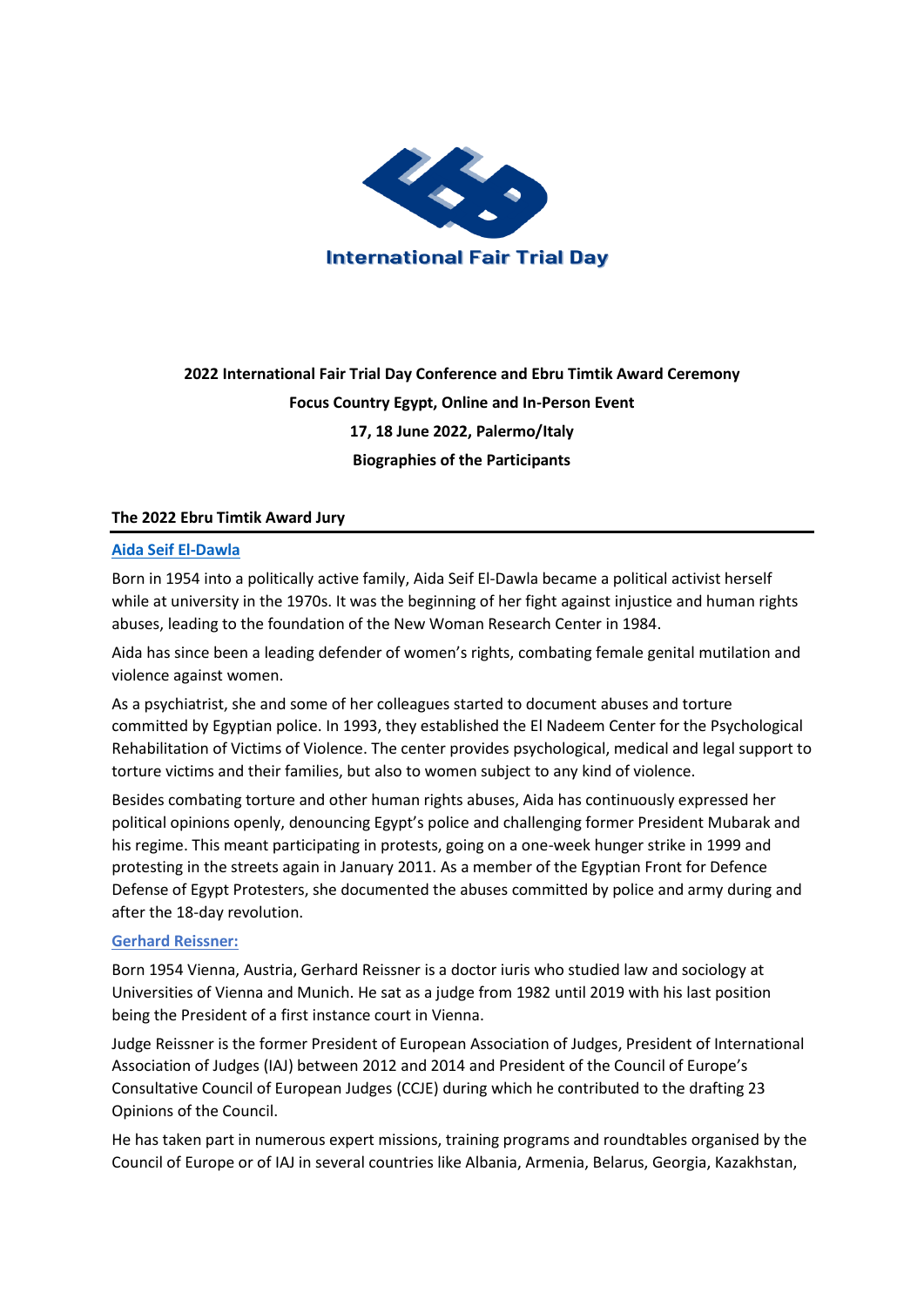

# **2022 International Fair Trial Day Conference and Ebru Timtik Award Ceremony Focus Country Egypt, Online and In-Person Event 17, 18 June 2022, Palermo/Italy Biographies of the Participants**

## **The 2022 Ebru Timtik Award Jury**

## **[Aida Seif El-Dawla](https://www.frontlinedefenders.org/en/profile/aida-seif-el-dawla)**

Born in 1954 into a politically active family, Aida Seif El-Dawla became a political activist herself while at university in the 1970s. It was the beginning of her fight against injustice and human rights abuses, leading to the foundation of the New Woman Research Center in 1984.

Aida has since been a leading defender of women's rights, combating female genital mutilation and violence against women.

As a psychiatrist, she and some of her colleagues started to document abuses and torture committed by Egyptian police. In 1993, they established the El Nadeem Center for the Psychological Rehabilitation of Victims of Violence. The center provides psychological, medical and legal support to torture victims and their families, but also to women subject to any kind of violence.

Besides combating torture and other human rights abuses, Aida has continuously expressed her political opinions openly, denouncing Egypt's police and challenging former President Mubarak and his regime. This meant participating in protests, going on a one-week hunger strike in 1999 and protesting in the streets again in January 2011. As a member of the Egyptian Front for Defence Defense of Egypt Protesters, she documented the abuses committed by police and army during and after the 18-day revolution.

#### **Gerhard Reissner:**

Born 1954 Vienna, Austria, Gerhard Reissner is a doctor iuris who studied law and sociology at Universities of Vienna and Munich. He sat as a judge from 1982 until 2019 with his last position being the President of a first instance court in Vienna.

Judge Reissner is the former President of European Association of Judges, President of International Association of Judges (IAJ) between 2012 and 2014 and President of the Council of Europe's Consultative Council of European Judges (CCJE) during which he contributed to the drafting 23 Opinions of the Council.

He has taken part in numerous expert missions, training programs and roundtables organised by the Council of Europe or of IAJ in several countries like Albania, Armenia, Belarus, Georgia, Kazakhstan,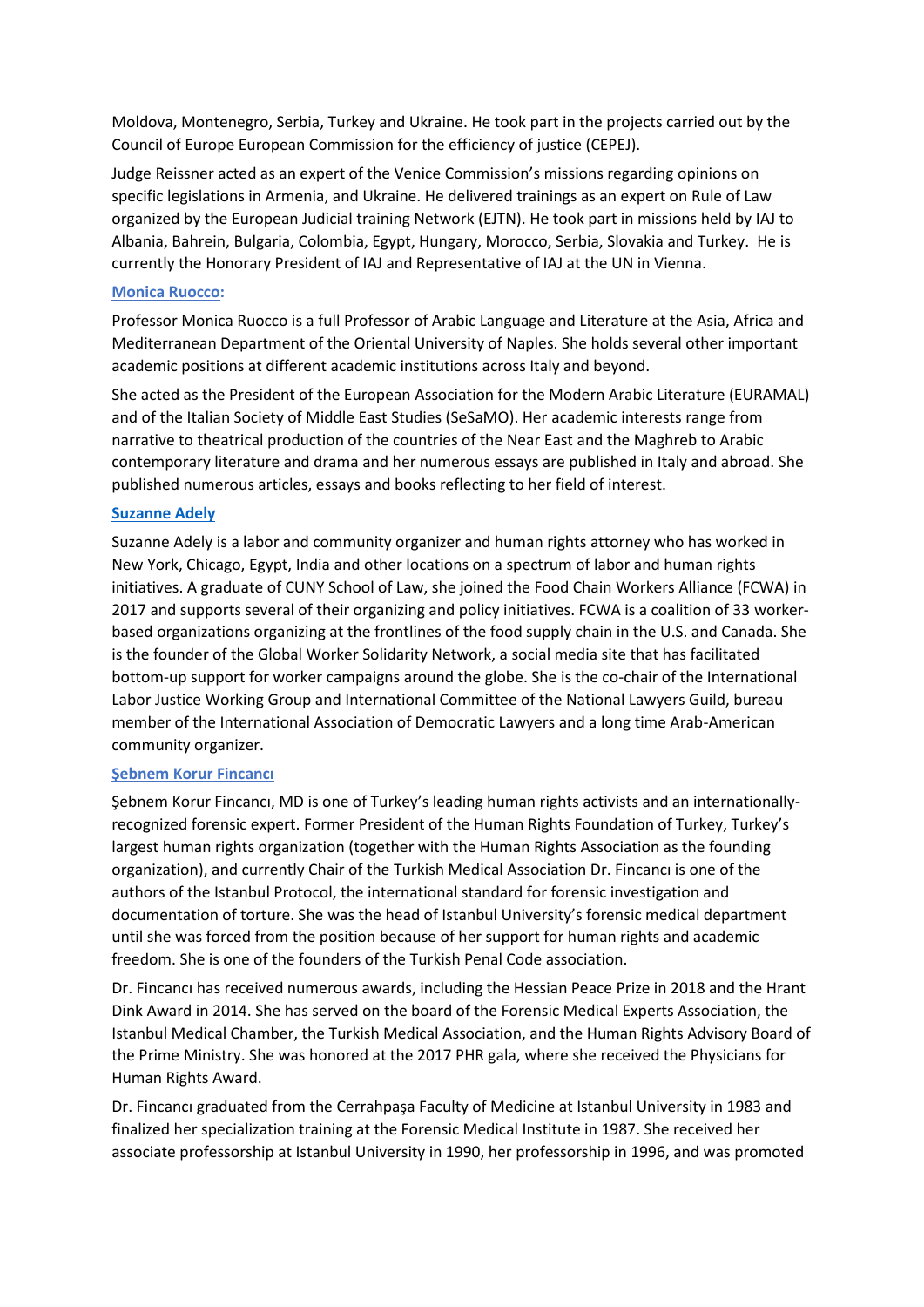Moldova, Montenegro, Serbia, Turkey and Ukraine. He took part in the projects carried out by the Council of Europe European Commission for the efficiency of justice (CEPEJ).

Judge Reissner acted as an expert of the Venice Commission's missions regarding opinions on specific legislations in Armenia, and Ukraine. He delivered trainings as an expert on Rule of Law organized by the European Judicial training Network (EJTN). He took part in missions held by IAJ to Albania, Bahrein, Bulgaria, Colombia, Egypt, Hungary, Morocco, Serbia, Slovakia and Turkey. He is currently the Honorary President of IAJ and Representative of IAJ at the UN in Vienna.

## **[Monica Ruocco:](https://docenti.unior.it/index2.php?content_id=22260&content_id_start=1&parLingua=ENG)**

Professor Monica Ruocco is a full Professor of Arabic Language and Literature at the Asia, Africa and Mediterranean Department of the Oriental University of Naples. She holds several other important academic positions at different academic institutions across Italy and beyond.

She acted as the President of the European Association for the Modern Arabic Literature (EURAMAL) and of the Italian Society of Middle East Studies (SeSaMO). Her academic interests range from narrative to theatrical production of the countries of the Near East and the Maghreb to Arabic contemporary literature and drama and her numerous essays are published in Italy and abroad. She published numerous articles, essays and books reflecting to her field of interest.

## **[Suzanne Adely](https://slucuny.swoogo.com/OurEconomy/speaker/55374/suzanne-adely)**

Suzanne Adely is a labor and community organizer and human rights attorney who has worked in New York, Chicago, Egypt, India and other locations on a spectrum of labor and human rights initiatives. A graduate of CUNY School of Law, she joined the Food Chain Workers Alliance (FCWA) in 2017 and supports several of their organizing and policy initiatives. FCWA is a coalition of 33 workerbased organizations organizing at the frontlines of the food supply chain in the U.S. and Canada. She is the founder of the Global Worker Solidarity Network, a social media site that has facilitated bottom-up support for worker campaigns around the globe. She is the co-chair of the International Labor Justice Working Group and International Committee of the National Lawyers Guild, bureau member of the International Association of Democratic Lawyers and a long time Arab-American community organizer.

## **[Şebnem Korur Fincancı](https://phr.org/people/sebnem-korur-fincanci/)**

Şebnem Korur Fincancı, MD is one of Turkey's leading human rights activists and an internationallyrecognized forensic expert. Former President of the Human Rights Foundation of Turkey, Turkey's largest human rights organization (together with the Human Rights Association as the founding organization), and currently Chair of the Turkish Medical Association Dr. Fincancı is one of the authors of the Istanbul Protocol, the international standard for forensic investigation and documentation of torture. She was the head of Istanbul University's forensic medical department until she was forced from the position because of her support for human rights and academic freedom. She is one of the founders of the Turkish Penal Code association.

Dr. Fincancı has received numerous awards, including the Hessian Peace Prize in 2018 and the Hrant Dink Award in 2014. She has served on the board of the Forensic Medical Experts Association, the Istanbul Medical Chamber, the Turkish Medical Association, and the Human Rights Advisory Board of the Prime Ministry. She was honored at the 2017 PHR gala, where she received the Physicians for Human Rights Award.

Dr. Fincancı graduated from the Cerrahpaşa Faculty of Medicine at Istanbul University in 1983 and finalized her specialization training at the Forensic Medical Institute in 1987. She received her associate professorship at Istanbul University in 1990, her professorship in 1996, and was promoted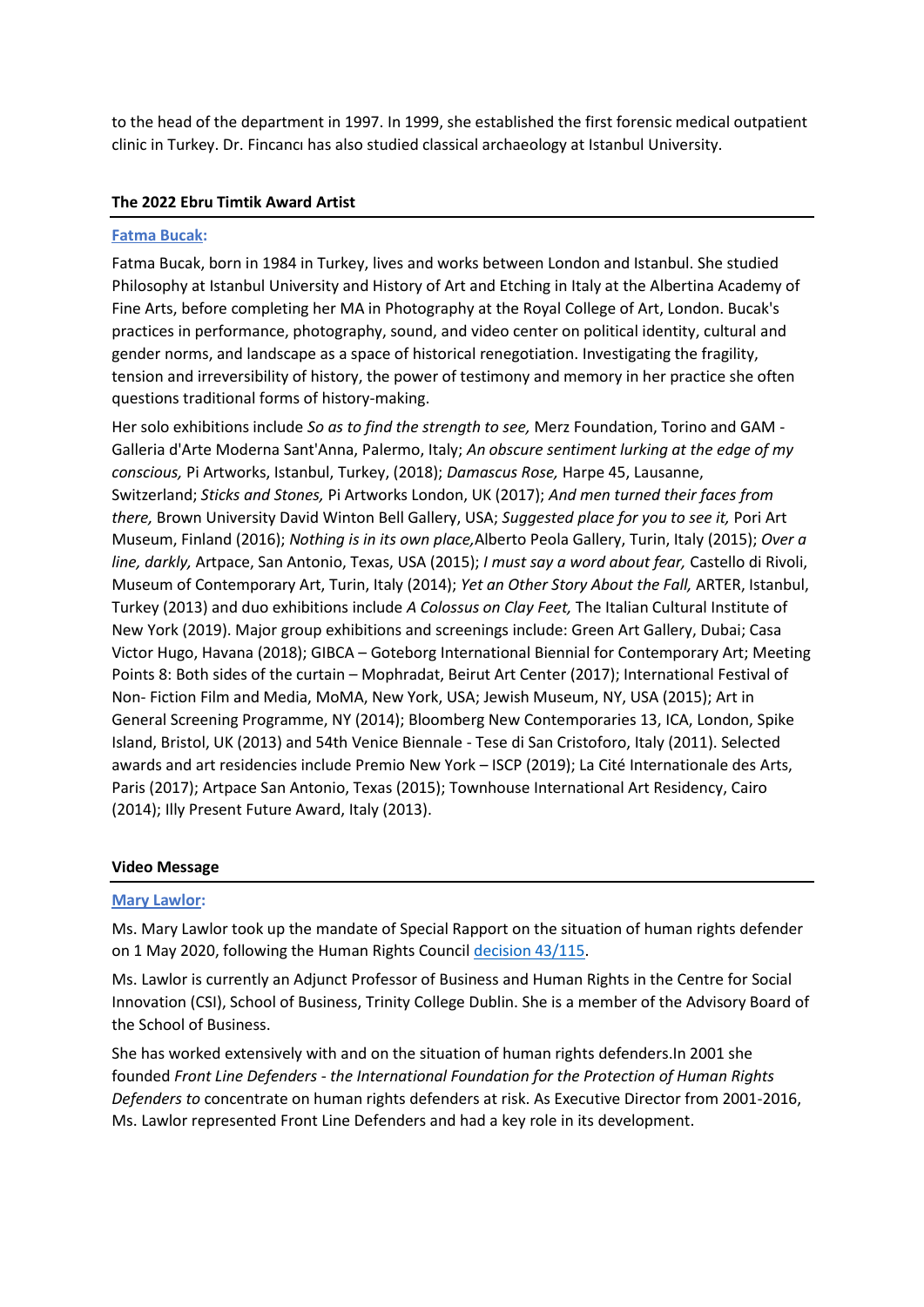to the head of the department in 1997. In 1999, she established the first forensic medical outpatient clinic in Turkey. Dr. Fincancı has also studied classical archaeology at Istanbul University.

## **The 2022 Ebru Timtik Award Artist**

#### **[Fatma Bucak:](https://italianacademy.columbia.edu/directory/fatma-bucak)**

Fatma Bucak, born in 1984 in Turkey, lives and works between London and Istanbul. She studied Philosophy at Istanbul University and History of Art and Etching in Italy at the Albertina Academy of Fine Arts, before completing her MA in Photography at the Royal College of Art, London. Bucak's practices in performance, photography, sound, and video center on political identity, cultural and gender norms, and landscape as a space of historical renegotiation. Investigating the fragility, tension and irreversibility of history, the power of testimony and memory in her practice she often questions traditional forms of history-making.

Her solo exhibitions include *So as to find the strength to see,* Merz Foundation, Torino and GAM - Galleria d'Arte Moderna Sant'Anna, Palermo, Italy; *An obscure sentiment lurking at the edge of my conscious,* Pi Artworks, Istanbul, Turkey, (2018); *Damascus Rose,* Harpe 45, Lausanne, Switzerland; *Sticks and Stones,* Pi Artworks London, UK (2017); *And men turned their faces from there,* Brown University David Winton Bell Gallery, USA; *Suggested place for you to see it,* Pori Art Museum, Finland (2016); *Nothing is in its own place,*Alberto Peola Gallery, Turin, Italy (2015); *Over a line, darkly,* Artpace, San Antonio, Texas, USA (2015); *I must say a word about fear,* Castello di Rivoli, Museum of Contemporary Art, Turin, Italy (2014); *Yet an Other Story About the Fall,* ARTER, Istanbul, Turkey (2013) and duo exhibitions include *A Colossus on Clay Feet,* The Italian Cultural Institute of New York (2019). Major group exhibitions and screenings include: Green Art Gallery, Dubai; Casa Victor Hugo, Havana (2018); GIBCA – Goteborg International Biennial for Contemporary Art; Meeting Points 8: Both sides of the curtain – Mophradat, Beirut Art Center (2017); International Festival of Non- Fiction Film and Media, MoMA, New York, USA; Jewish Museum, NY, USA (2015); Art in General Screening Programme, NY (2014); Bloomberg New Contemporaries 13, ICA, London, Spike Island, Bristol, UK (2013) and 54th Venice Biennale - Tese di San Cristoforo, Italy (2011). Selected awards and art residencies include Premio New York – ISCP (2019); La Cité Internationale des Arts, Paris (2017); Artpace San Antonio, Texas (2015); Townhouse International Art Residency, Cairo (2014); Illy Present Future Award, Italy (2013).

#### **Video Message**

#### **[Mary Lawlor:](https://www.ohchr.org/en/special-procedures/sr-human-rights-defenders/ms-mary-lawlor)**

Ms. Mary Lawlor took up the mandate of Special Rapport on the situation of human rights defender on 1 May 2020, following the Human Rights Council [decision 43/115.](https://undocs.org/A/HRC/DEC/43/115)

Ms. Lawlor is currently an Adjunct Professor of Business and Human Rights in the Centre for Social Innovation (CSI), School of Business, Trinity College Dublin. She is a member of the Advisory Board of the School of Business.

She has worked extensively with and on the situation of human rights defenders.In 2001 she founded *Front Line Defenders* - *the International Foundation for the Protection of Human Rights Defenders to* concentrate on human rights defenders at risk. As Executive Director from 2001-2016, Ms. Lawlor represented Front Line Defenders and had a key role in its development.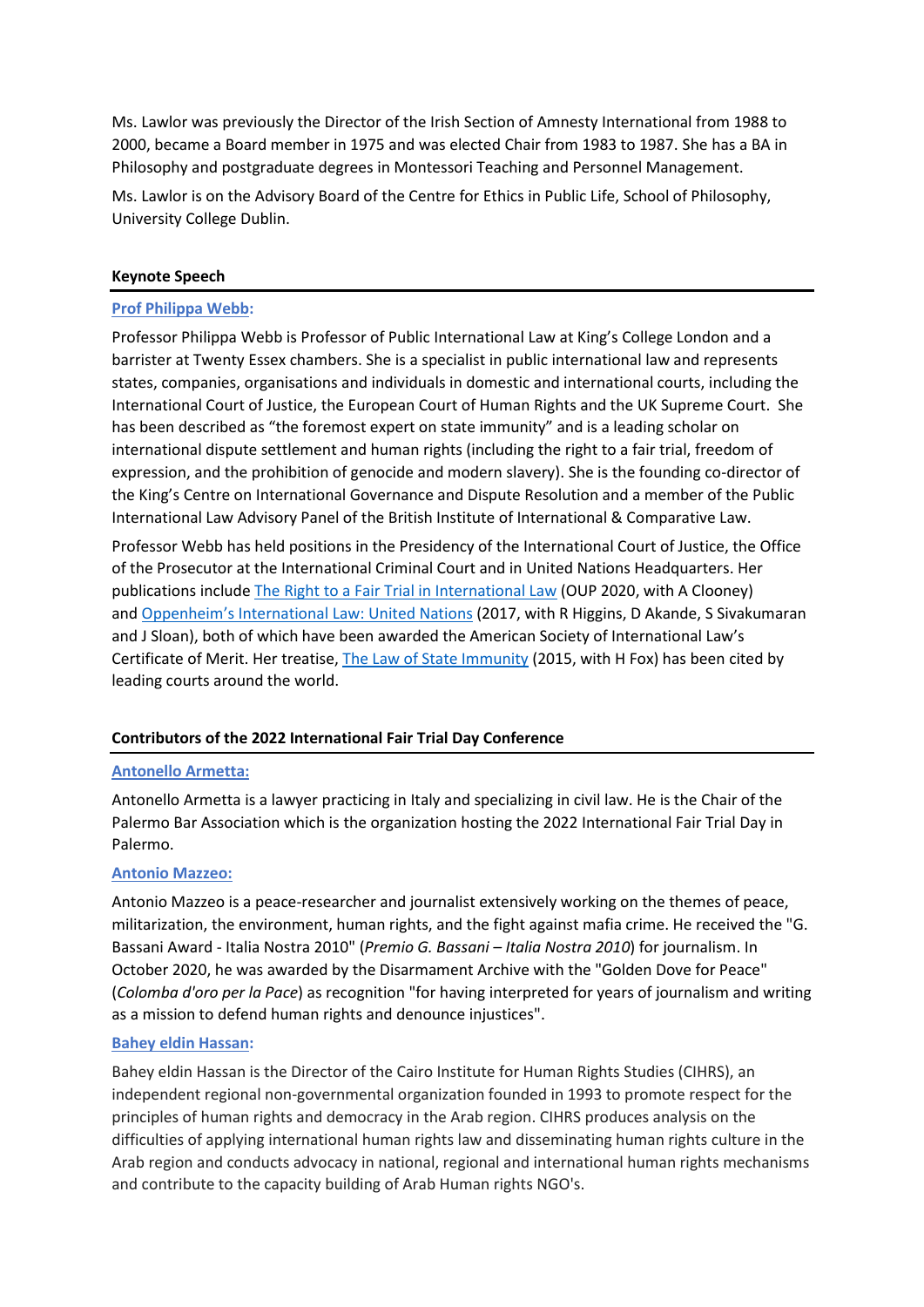Ms. Lawlor was previously the Director of the Irish Section of Amnesty International from 1988 to 2000, became a Board member in 1975 and was elected Chair from 1983 to 1987. She has a BA in Philosophy and postgraduate degrees in Montessori Teaching and Personnel Management.

Ms. Lawlor is on the Advisory Board of the Centre for Ethics in Public Life, School of Philosophy, University College Dublin.

## **Keynote Speech**

#### **[Prof Philippa Webb:](https://nam12.safelinks.protection.outlook.com/?url=https%3A%2F%2Fcfj.org%2Fpeople%2Fphilippa-webb%2F&data=05%7C01%7C%7C6378f5c39b9143b0ba1a08da47c0e6ef%7C84df9e7fe9f640afb435aaaaaaaaaaaa%7C1%7C0%7C637901191113278448%7CUnknown%7CTWFpbGZsb3d8eyJWIjoiMC4wLjAwMDAiLCJQIjoiV2luMzIiLCJBTiI6Ik1haWwiLCJXVCI6Mn0%3D%7C3000%7C%7C%7C&sdata=AqgJ36quCNlNUzWR70IXLqeZem4r6PUST8uHOq9LfJM%3D&reserved=0)**

Professor Philippa Webb is Professor of Public International Law at King's College London and a barrister at Twenty Essex chambers. She is a specialist in public international law and represents states, companies, organisations and individuals in domestic and international courts, including the International Court of Justice, the European Court of Human Rights and the UK Supreme Court. She has been described as "the foremost expert on state immunity" and is a leading scholar on international dispute settlement and human rights (including the right to a fair trial, freedom of expression, and the prohibition of genocide and modern slavery). She is the founding co-director of the King's Centre on International Governance and Dispute Resolution and a member of the Public International Law Advisory Panel of the British Institute of International & Comparative Law.

Professor Webb has held positions in the Presidency of the International Court of Justice, the Office of the Prosecutor at the International Criminal Court and in United Nations Headquarters. Her publications include [The Right to a Fair Trial in International Law](https://global.oup.com/academic/product/the-right-to-a-fair-trial-in-international-law-9780198808398?cc=gb&lang=en&) (OUP 2020, with A Clooney) and [Oppenheim's International Law: United Nations](https://global.oup.com/academic/product/oppenheims-international-law-united-nations-9780198808312?cc=us&lang=en&) (2017, with R Higgins, D Akande, S Sivakumaran and J Sloan), both of which have been awarded the American Society of International Law's Certificate of Merit. Her treatise, [The Law of State Immunity](https://global.oup.com/academic/product/the-law-of-state-immunity-9780198744412?cc=gb&lang=en&) (2015, with H Fox) has been cited by leading courts around the world.

## **Contributors of the 2022 International Fair Trial Day Conference**

### **Antonello Armetta:**

Antonello Armetta is a lawyer practicing in Italy and specializing in civil law. He is the Chair of the Palermo Bar Association which is the organization hosting the 2022 International Fair Trial Day in Palermo.

#### **Antonio Mazzeo:**

Antonio Mazzeo is a peace-researcher and journalist extensively working on the themes of peace, militarization, the environment, human rights, and the fight against mafia crime. He received the "G. Bassani Award - Italia Nostra 2010" (*Premio G. Bassani – Italia Nostra 2010*) for journalism. In October 2020, he was awarded by the Disarmament Archive with the "Golden Dove for Peace" (*Colomba d'oro per la Pace*) as recognition "for having interpreted for years of journalism and writing as a mission to defend human rights and denounce injustices".

#### **Bahey [eldin Hassan:](https://www.ictj.org/about/bahey-eldin-hassan)**

Bahey eldin Hassan is the Director of the Cairo Institute for Human Rights Studies (CIHRS), an independent regional non-governmental organization founded in 1993 to promote respect for the principles of human rights and democracy in the Arab region. CIHRS produces analysis on the difficulties of applying international human rights law and disseminating human rights culture in the Arab region and conducts advocacy in national, regional and international human rights mechanisms and contribute to the capacity building of Arab Human rights NGO's.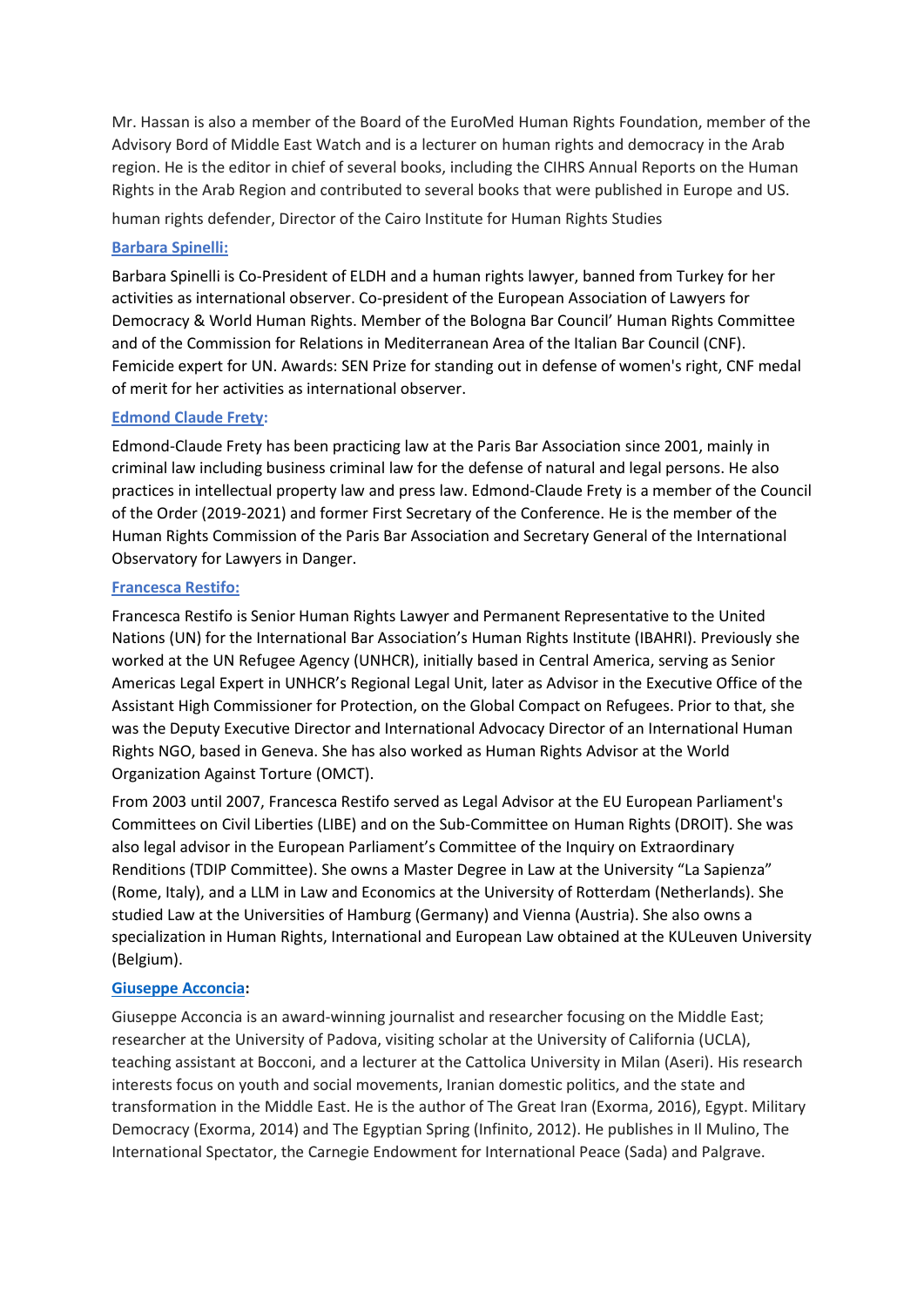Mr. Hassan is also a member of the Board of the EuroMed Human Rights Foundation, member of the Advisory Bord of Middle East Watch and is a lecturer on human rights and democracy in the Arab region. He is the editor in chief of several books, including the CIHRS Annual Reports on the Human Rights in the Arab Region and contributed to several books that were published in Europe and US.

human rights defender, Director of the Cairo Institute for Human Rights Studies

## **Barbara Spinelli:**

Barbara Spinelli is Co-President of ELDH and a human rights lawyer, banned from Turkey for her activities as international observer. Co-president of the European Association of Lawyers for Democracy & World Human Rights. Member of the Bologna Bar Council' Human Rights Committee and of the Commission for Relations in Mediterranean Area of the Italian Bar Council (CNF). Femicide expert for UN. Awards: SEN Prize for standing out in defense of women's right, CNF medal of merit for her activities as international observer.

## **[Edmond Claude Frety:](https://www.frety-avocats.fr/)**

Edmond-Claude Frety has been practicing law at the Paris Bar Association since 2001, mainly in criminal law including business criminal law for the defense of natural and legal persons. He also practices in intellectual property law and press law. Edmond-Claude Frety is a member of the Council of the Order (2019-2021) and former First Secretary of the Conference. He is the member of the Human Rights Commission of the Paris Bar Association and Secretary General of the International Observatory for Lawyers in Danger.

### **Francesca Restifo:**

Francesca Restifo is Senior Human Rights Lawyer and Permanent Representative to the United Nations (UN) for the International Bar Association's Human Rights Institute (IBAHRI). Previously she worked at the UN Refugee Agency (UNHCR), initially based in Central America, serving as Senior Americas Legal Expert in UNHCR's Regional Legal Unit, later as Advisor in the Executive Office of the Assistant High Commissioner for Protection, on the Global Compact on Refugees. Prior to that, she was the Deputy Executive Director and International Advocacy Director of an International Human Rights NGO, based in Geneva. She has also worked as Human Rights Advisor at the World Organization Against Torture (OMCT).

From 2003 until 2007, Francesca Restifo served as Legal Advisor at the EU European Parliament's Committees on Civil Liberties (LIBE) and on the Sub-Committee on Human Rights (DROIT). She was also legal advisor in the European Parliament's Committee of the Inquiry on Extraordinary Renditions (TDIP Committee). She owns a Master Degree in Law at the University "La Sapienza" (Rome, Italy), and a LLM in Law and Economics at the University of Rotterdam (Netherlands). She studied Law at the Universities of Hamburg (Germany) and Vienna (Austria). She also owns a specialization in Human Rights, International and European Law obtained at the KULeuven University (Belgium).

## **[Giuseppe Acconcia:](https://www.opendemocracy.net/en/author/giuseppe-acconcia/)**

Giuseppe Acconcia is an award-winning journalist and researcher focusing on the Middle East; researcher at the University of Padova, visiting scholar at the University of California (UCLA), teaching assistant at Bocconi, and a lecturer at the Cattolica University in Milan (Aseri). His research interests focus on youth and social movements, Iranian domestic politics, and the state and transformation in the Middle East. He is the author of The Great Iran (Exorma, 2016), Egypt. Military Democracy (Exorma, 2014) and The Egyptian Spring (Infinito, 2012). He publishes in Il Mulino, The International Spectator, the Carnegie Endowment for International Peace (Sada) and Palgrave.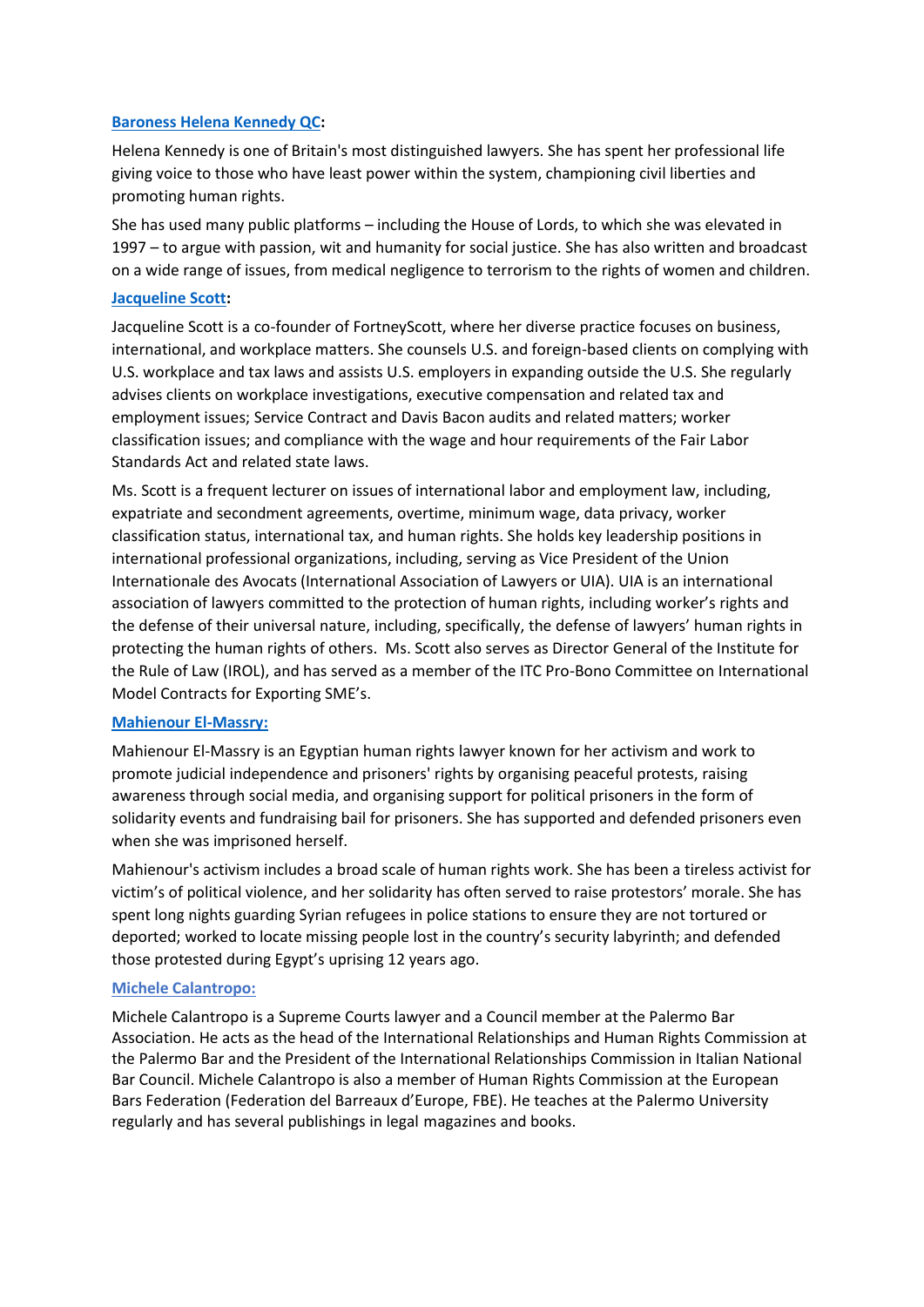## **[Baroness Helena Kennedy QC:](https://www.doughtystreet.co.uk/barristers/helena-kennedy-qc)**

Helena Kennedy is one of Britain's most distinguished lawyers. She has spent her professional life giving voice to those who have least power within the system, championing civil liberties and promoting human rights.

She has used many public platforms – including the House of Lords, to which she was elevated in 1997 – to argue with passion, wit and humanity for social justice. She has also written and broadcast on a wide range of issues, from medical negligence to terrorism to the rights of women and children.

## **[Jacqueline Scott:](https://www.fortneyscott.com/jacqueline-r-scott)**

Jacqueline Scott is a co-founder of FortneyScott, where her diverse practice focuses on business, international, and workplace matters. She counsels U.S. and foreign-based clients on complying with U.S. workplace and tax laws and assists U.S. employers in expanding outside the U.S. She regularly advises clients on workplace investigations, executive compensation and related tax and employment issues; Service Contract and Davis Bacon audits and related matters; worker classification issues; and compliance with the wage and hour requirements of the Fair Labor Standards Act and related state laws.

Ms. Scott is a frequent lecturer on issues of international labor and employment law, including, expatriate and secondment agreements, overtime, minimum wage, data privacy, worker classification status, international tax, and human rights. She holds key leadership positions in international professional organizations, including, serving as Vice President of the Union Internationale des Avocats (International Association of Lawyers or UIA). UIA is an international association of lawyers committed to the protection of human rights, including worker's rights and the defense of their universal nature, including, specifically, the defense of lawyers' human rights in protecting the human rights of others. Ms. Scott also serves as Director General of the Institute for the Rule of Law (IROL), and has served as a member of the ITC Pro-Bono Committee on International Model Contracts for Exporting SME's.

## **[Mahienour El-Massry:](https://www.peopleinneed.net/mahienour-el-massry-this-years-homo-homini-award-laureate-8576gp)**

Mahienour El-Massry is an Egyptian human rights lawyer known for her activism and work to promote judicial independence and prisoners' rights by organising peaceful protests, raising awareness through social media, and organising support for political prisoners in the form of solidarity events and fundraising bail for prisoners. She has supported and defended prisoners even when she was imprisoned herself.

Mahienour's activism includes a broad scale of human rights work. She has been a tireless activist for victim's of political violence, and her solidarity has often served to raise protestors' morale. She has spent long nights guarding Syrian refugees in police stations to ensure they are not tortured or deported; worked to locate missing people lost in the country's security labyrinth; and defended those protested during Egypt's uprising 12 years ago.

## **Michele Calantropo:**

Michele Calantropo is a Supreme Courts lawyer and a Council member at the Palermo Bar Association. He acts as the head of the International Relationships and Human Rights Commission at the Palermo Bar and the President of the International Relationships Commission in Italian National Bar Council. Michele Calantropo is also a member of Human Rights Commission at the European Bars Federation (Federation del Barreaux d'Europe, FBE). He teaches at the Palermo University regularly and has several publishings in legal magazines and books.